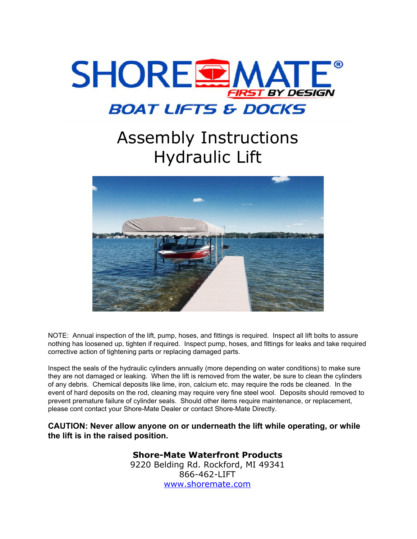

## Assembly Instructions Hydraulic Lift



NOTE: Annual inspection of the lift, pump, hoses, and fittings is required. Inspect all lift bolts to assure nothing has loosened up, tighten if required. Inspect pump, hoses, and fittings for leaks and take required corrective action of tightening parts or replacing damaged parts.

Inspect the seals of the hydraulic cylinders annually (more depending on water conditions) to make sure they are not damaged or leaking. When the lift is removed from the water, be sure to clean the cylinders of any debris. Chemical deposits like lime, iron, calcium etc. may require the rods be cleaned. In the event of hard deposits on the rod, cleaning may require very fine steel wool. Deposits should removed to prevent premature failure of cylinder seals. Should other items require maintenance, or replacement, please cont contact your Shore-Mate Dealer or contact Shore-Mate Directly.

**CAUTION: Never allow anyone on or underneath the lift while operating, or while the lift is in the raised position.**

## **Shore-Mate Waterfront Products**

9220 Belding Rd. Rockford, MI 49341 866-462-LIFT [www.shoremate.com](http://www.shoremate.com/)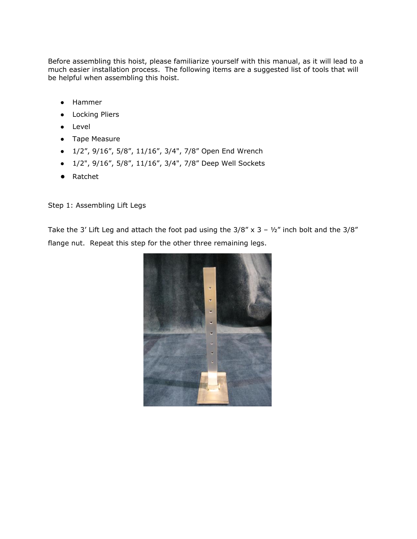Before assembling this hoist, please familiarize yourself with this manual, as it will lead to a much easier installation process. The following items are a suggested list of tools that will be helpful when assembling this hoist.

- Hammer
- Locking Pliers
- Level
- Tape Measure
- 1/2", 9/16", 5/8", 11/16", 3/4", 7/8" Open End Wrench
- 1/2", 9/16", 5/8", 11/16", 3/4", 7/8" Deep Well Sockets
- Ratchet

Step 1: Assembling Lift Legs

Take the 3' Lift Leg and attach the foot pad using the  $3/8''$  x 3 –  $\frac{1}{2}$ " inch bolt and the  $3/8''$ flange nut. Repeat this step for the other three remaining legs.

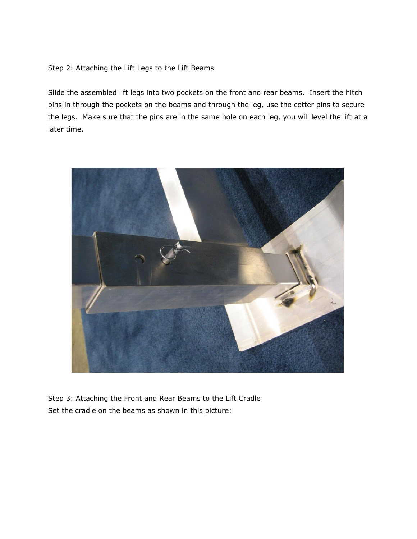Step 2: Attaching the Lift Legs to the Lift Beams

Slide the assembled lift legs into two pockets on the front and rear beams. Insert the hitch pins in through the pockets on the beams and through the leg, use the cotter pins to secure the legs. Make sure that the pins are in the same hole on each leg, you will level the lift at a later time.



Step 3: Attaching the Front and Rear Beams to the Lift Cradle Set the cradle on the beams as shown in this picture: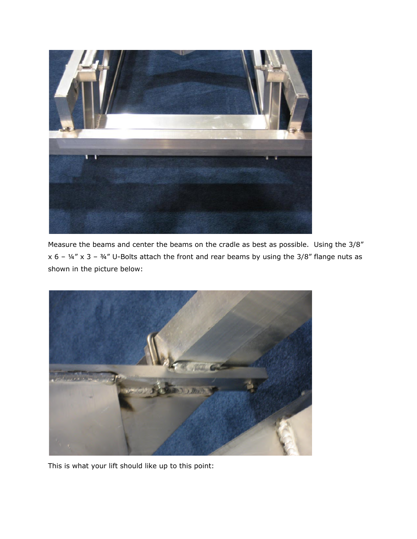

Measure the beams and center the beams on the cradle as best as possible. Using the 3/8" x 6 –  $\frac{1}{4}$  x 3 –  $\frac{3}{4}$ " U-Bolts attach the front and rear beams by using the 3/8" flange nuts as shown in the picture below:



This is what your lift should like up to this point: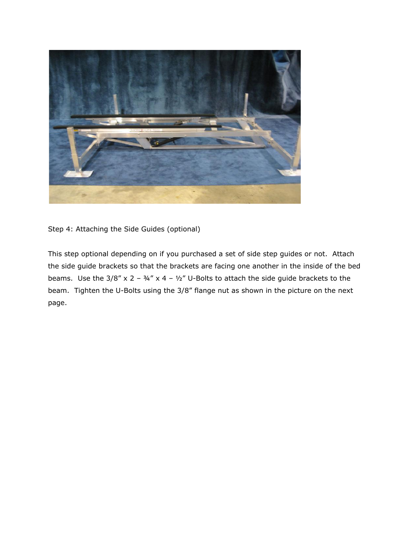

Step 4: Attaching the Side Guides (optional)

This step optional depending on if you purchased a set of side step guides or not. Attach the side guide brackets so that the brackets are facing one another in the inside of the bed beams. Use the  $3/8''$  x 2 –  $3/4''$  x 4 –  $1/2''$  U-Bolts to attach the side guide brackets to the beam. Tighten the U-Bolts using the 3/8" flange nut as shown in the picture on the next page.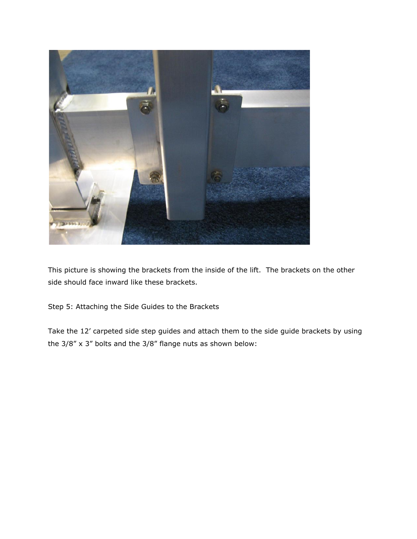

This picture is showing the brackets from the inside of the lift. The brackets on the other side should face inward like these brackets.

Step 5: Attaching the Side Guides to the Brackets

Take the 12' carpeted side step guides and attach them to the side guide brackets by using the 3/8" x 3" bolts and the 3/8" flange nuts as shown below: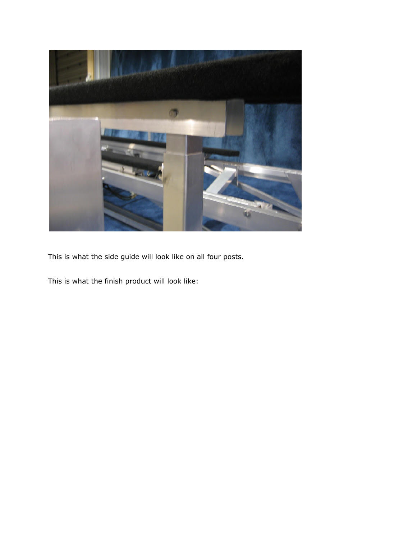

This is what the side guide will look like on all four posts.

This is what the finish product will look like: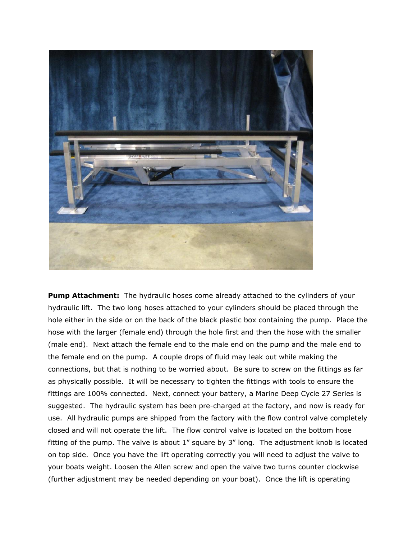

**Pump Attachment:** The hydraulic hoses come already attached to the cylinders of your hydraulic lift. The two long hoses attached to your cylinders should be placed through the hole either in the side or on the back of the black plastic box containing the pump. Place the hose with the larger (female end) through the hole first and then the hose with the smaller (male end). Next attach the female end to the male end on the pump and the male end to the female end on the pump. A couple drops of fluid may leak out while making the connections, but that is nothing to be worried about. Be sure to screw on the fittings as far as physically possible. It will be necessary to tighten the fittings with tools to ensure the fittings are 100% connected. Next, connect your battery, a Marine Deep Cycle 27 Series is suggested. The hydraulic system has been pre-charged at the factory, and now is ready for use. All hydraulic pumps are shipped from the factory with the flow control valve completely closed and will not operate the lift. The flow control valve is located on the bottom hose fitting of the pump. The valve is about 1" square by 3" long. The adjustment knob is located on top side. Once you have the lift operating correctly you will need to adjust the valve to your boats weight. Loosen the Allen screw and open the valve two turns counter clockwise (further adjustment may be needed depending on your boat). Once the lift is operating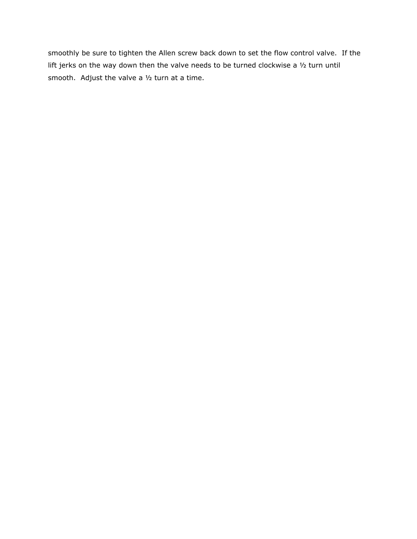smoothly be sure to tighten the Allen screw back down to set the flow control valve. If the lift jerks on the way down then the valve needs to be turned clockwise a ½ turn until smooth. Adjust the valve a ½ turn at a time.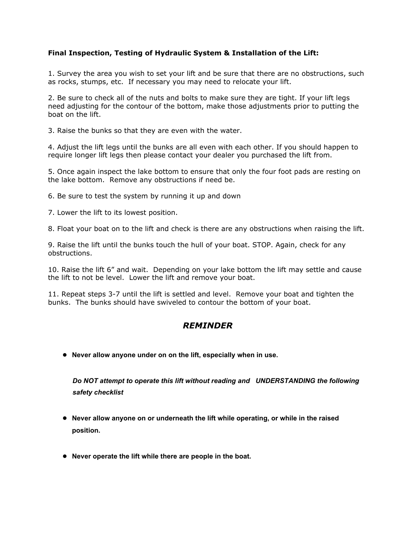## **Final Inspection, Testing of Hydraulic System & Installation of the Lift:**

1. Survey the area you wish to set your lift and be sure that there are no obstructions, such as rocks, stumps, etc. If necessary you may need to relocate your lift.

2. Be sure to check all of the nuts and bolts to make sure they are tight. If your lift legs need adjusting for the contour of the bottom, make those adjustments prior to putting the boat on the lift.

3. Raise the bunks so that they are even with the water.

4. Adjust the lift legs until the bunks are all even with each other. If you should happen to require longer lift legs then please contact your dealer you purchased the lift from.

5. Once again inspect the lake bottom to ensure that only the four foot pads are resting on the lake bottom. Remove any obstructions if need be.

6. Be sure to test the system by running it up and down

7. Lower the lift to its lowest position.

8. Float your boat on to the lift and check is there are any obstructions when raising the lift.

9. Raise the lift until the bunks touch the hull of your boat. STOP. Again, check for any obstructions.

10. Raise the lift 6" and wait. Depending on your lake bottom the lift may settle and cause the lift to not be level. Lower the lift and remove your boat.

11. Repeat steps 3-7 until the lift is settled and level. Remove your boat and tighten the bunks. The bunks should have swiveled to contour the bottom of your boat.

## *REMINDER*

● **Never allow anyone under on on the lift, especially when in use.**

*Do NOT attempt to operate this lift without reading and UNDERSTANDING the following safety checklist*

- **Never allow anyone on or underneath the lift while operating, or while in the raised position.**
- **Never operate the lift while there are people in the boat.**